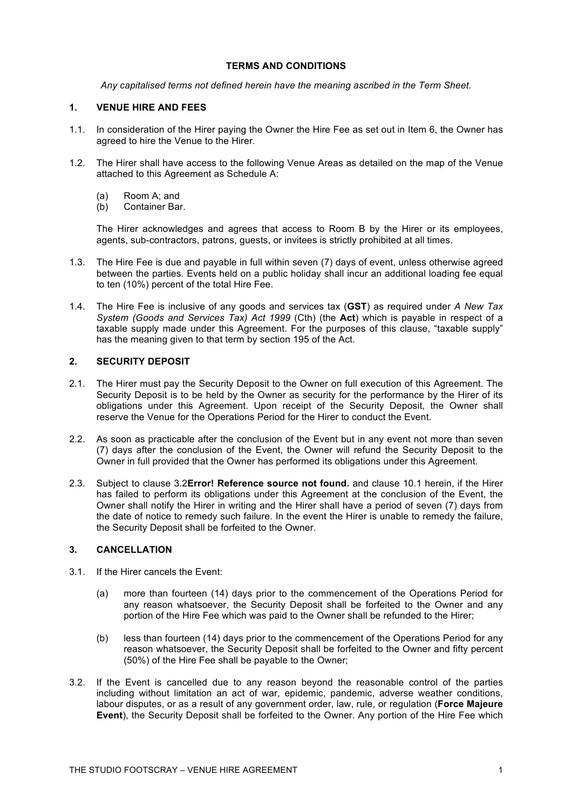### **TERMS AND CONDITIONS**

*Any capitalised terms not defined herein have the meaning ascribed in the Term Sheet.*

### **1. VENUE HIRE AND FEES**

- 1.1. In consideration of the Hirer paying the Owner the Hire Fee as set out in Item 6, the Owner has agreed to hire the Venue to the Hirer.
- 1.2. The Hirer shall have access to the following Venue Areas as detailed on the map of the Venue attached to this Agreement as Schedule A:
	- (a) Room A; and
	- (b) Container Bar.

The Hirer acknowledges and agrees that access to Room B by the Hirer or its employees, agents, sub-contractors, patrons, guests, or invitees is strictly prohibited at all times.

- 1.3. The Hire Fee is due and payable in full within seven (7) days of event, unless otherwise agreed between the parties. Events held on a public holiday shall incur an additional loading fee equal to ten (10%) percent of the total Hire Fee.
- 1.4. The Hire Fee is inclusive of any goods and services tax (**GST**) as required under *A New Tax System (Goods and Services Tax) Act 1999* (Cth) (the **Act**) which is payable in respect of a taxable supply made under this Agreement. For the purposes of this clause, "taxable supply" has the meaning given to that term by section 195 of the Act.

## **2. SECURITY DEPOSIT**

- 2.1. The Hirer must pay the Security Deposit to the Owner on full execution of this Agreement. The Security Deposit is to be held by the Owner as security for the performance by the Hirer of its obligations under this Agreement. Upon receipt of the Security Deposit, the Owner shall reserve the Venue for the Operations Period for the Hirer to conduct the Event.
- 2.2. As soon as practicable after the conclusion of the Event but in any event not more than seven (7) days after the conclusion of the Event, the Owner will refund the Security Deposit to the Owner in full provided that the Owner has performed its obligations under this Agreement.
- 2.3. Subject to clause 3.2**Error! Reference source not found.** and clause 10.1 herein, if the Hirer has failed to perform its obligations under this Agreement at the conclusion of the Event, the Owner shall notify the Hirer in writing and the Hirer shall have a period of seven (7) days from the date of notice to remedy such failure. In the event the Hirer is unable to remedy the failure, the Security Deposit shall be forfeited to the Owner.

#### **3. CANCELLATION**

- 3.1. If the Hirer cancels the Event:
	- (a) more than fourteen (14) days prior to the commencement of the Operations Period for any reason whatsoever, the Security Deposit shall be forfeited to the Owner and any portion of the Hire Fee which was paid to the Owner shall be refunded to the Hirer;
	- (b) less than fourteen (14) days prior to the commencement of the Operations Period for any reason whatsoever, the Security Deposit shall be forfeited to the Owner and fifty percent (50%) of the Hire Fee shall be payable to the Owner;
- 3.2. If the Event is cancelled due to any reason beyond the reasonable control of the parties including without limitation an act of war, epidemic, pandemic, adverse weather conditions, labour disputes, or as a result of any government order, law, rule, or regulation (**Force Majeure Event**), the Security Deposit shall be forfeited to the Owner. Any portion of the Hire Fee which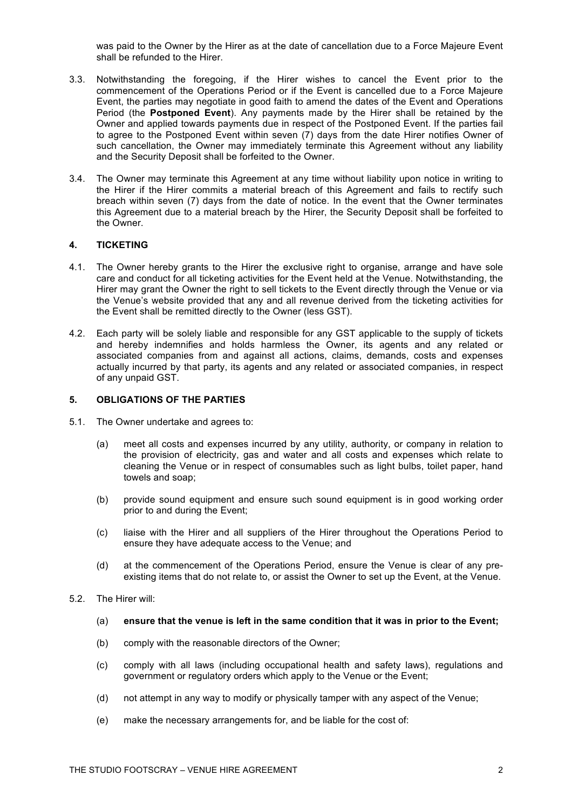was paid to the Owner by the Hirer as at the date of cancellation due to a Force Majeure Event shall be refunded to the Hirer.

- 3.3. Notwithstanding the foregoing, if the Hirer wishes to cancel the Event prior to the commencement of the Operations Period or if the Event is cancelled due to a Force Majeure Event, the parties may negotiate in good faith to amend the dates of the Event and Operations Period (the **Postponed Event**). Any payments made by the Hirer shall be retained by the Owner and applied towards payments due in respect of the Postponed Event. If the parties fail to agree to the Postponed Event within seven (7) days from the date Hirer notifies Owner of such cancellation, the Owner may immediately terminate this Agreement without any liability and the Security Deposit shall be forfeited to the Owner.
- 3.4. The Owner may terminate this Agreement at any time without liability upon notice in writing to the Hirer if the Hirer commits a material breach of this Agreement and fails to rectify such breach within seven (7) days from the date of notice. In the event that the Owner terminates this Agreement due to a material breach by the Hirer, the Security Deposit shall be forfeited to the Owner.

### **4. TICKETING**

- 4.1. The Owner hereby grants to the Hirer the exclusive right to organise, arrange and have sole care and conduct for all ticketing activities for the Event held at the Venue. Notwithstanding, the Hirer may grant the Owner the right to sell tickets to the Event directly through the Venue or via the Venue's website provided that any and all revenue derived from the ticketing activities for the Event shall be remitted directly to the Owner (less GST).
- 4.2. Each party will be solely liable and responsible for any GST applicable to the supply of tickets and hereby indemnifies and holds harmless the Owner, its agents and any related or associated companies from and against all actions, claims, demands, costs and expenses actually incurred by that party, its agents and any related or associated companies, in respect of any unpaid GST.

# **5. OBLIGATIONS OF THE PARTIES**

- 5.1. The Owner undertake and agrees to:
	- (a) meet all costs and expenses incurred by any utility, authority, or company in relation to the provision of electricity, gas and water and all costs and expenses which relate to cleaning the Venue or in respect of consumables such as light bulbs, toilet paper, hand towels and soap;
	- (b) provide sound equipment and ensure such sound equipment is in good working order prior to and during the Event;
	- (c) liaise with the Hirer and all suppliers of the Hirer throughout the Operations Period to ensure they have adequate access to the Venue; and
	- (d) at the commencement of the Operations Period, ensure the Venue is clear of any preexisting items that do not relate to, or assist the Owner to set up the Event, at the Venue.
- 5.2. The Hirer will:
	- (a) **ensure that the venue is left in the same condition that it was in prior to the Event;**
	- (b) comply with the reasonable directors of the Owner;
	- (c) comply with all laws (including occupational health and safety laws), regulations and government or regulatory orders which apply to the Venue or the Event;
	- (d) not attempt in any way to modify or physically tamper with any aspect of the Venue;
	- (e) make the necessary arrangements for, and be liable for the cost of: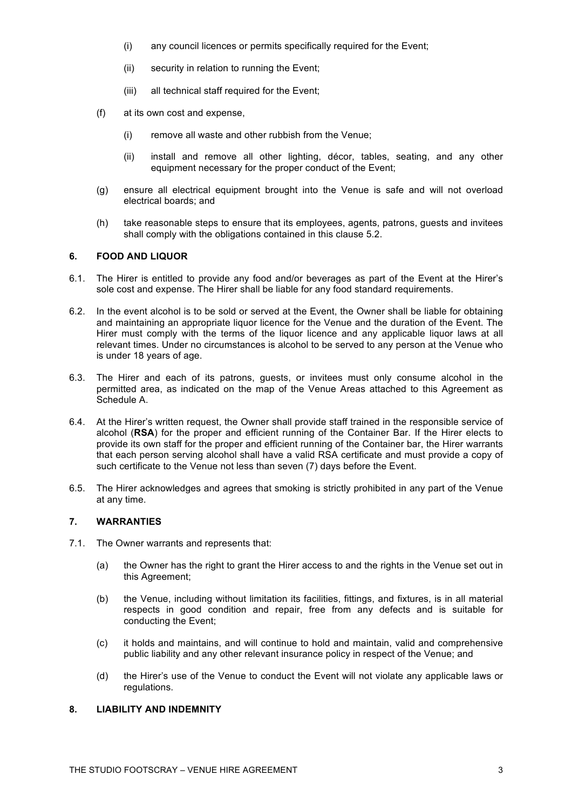- (i) any council licences or permits specifically required for the Event;
- (ii) security in relation to running the Event;
- (iii) all technical staff required for the Event;
- (f) at its own cost and expense,
	- (i) remove all waste and other rubbish from the Venue;
	- (ii) install and remove all other lighting, décor, tables, seating, and any other equipment necessary for the proper conduct of the Event;
- (g) ensure all electrical equipment brought into the Venue is safe and will not overload electrical boards; and
- (h) take reasonable steps to ensure that its employees, agents, patrons, guests and invitees shall comply with the obligations contained in this clause 5.2.

### **6. FOOD AND LIQUOR**

- 6.1. The Hirer is entitled to provide any food and/or beverages as part of the Event at the Hirer's sole cost and expense. The Hirer shall be liable for any food standard requirements.
- 6.2. In the event alcohol is to be sold or served at the Event, the Owner shall be liable for obtaining and maintaining an appropriate liquor licence for the Venue and the duration of the Event. The Hirer must comply with the terms of the liquor licence and any applicable liquor laws at all relevant times. Under no circumstances is alcohol to be served to any person at the Venue who is under 18 years of age.
- 6.3. The Hirer and each of its patrons, guests, or invitees must only consume alcohol in the permitted area, as indicated on the map of the Venue Areas attached to this Agreement as Schedule A.
- 6.4. At the Hirer's written request, the Owner shall provide staff trained in the responsible service of alcohol (**RSA**) for the proper and efficient running of the Container Bar. If the Hirer elects to provide its own staff for the proper and efficient running of the Container bar, the Hirer warrants that each person serving alcohol shall have a valid RSA certificate and must provide a copy of such certificate to the Venue not less than seven (7) days before the Event.
- 6.5. The Hirer acknowledges and agrees that smoking is strictly prohibited in any part of the Venue at any time.

# **7. WARRANTIES**

- 7.1. The Owner warrants and represents that:
	- (a) the Owner has the right to grant the Hirer access to and the rights in the Venue set out in this Agreement;
	- (b) the Venue, including without limitation its facilities, fittings, and fixtures, is in all material respects in good condition and repair, free from any defects and is suitable for conducting the Event;
	- (c) it holds and maintains, and will continue to hold and maintain, valid and comprehensive public liability and any other relevant insurance policy in respect of the Venue; and
	- (d) the Hirer's use of the Venue to conduct the Event will not violate any applicable laws or regulations.

## **8. LIABILITY AND INDEMNITY**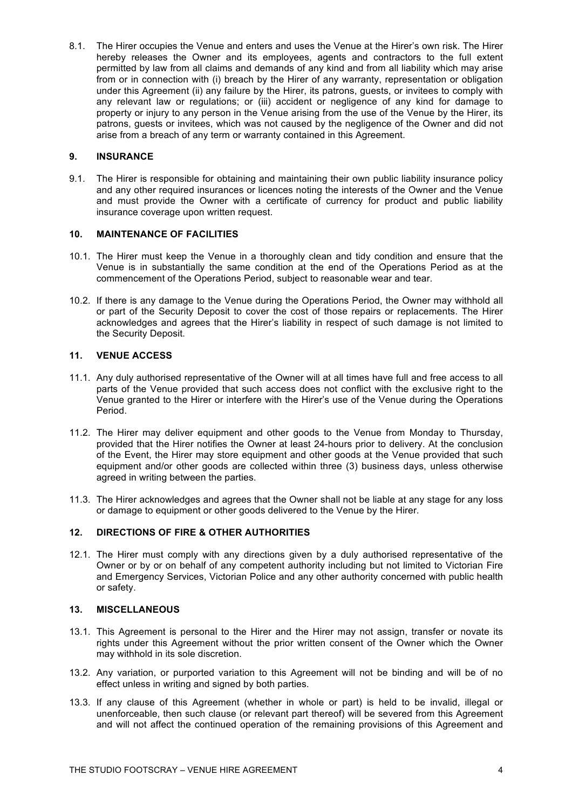8.1. The Hirer occupies the Venue and enters and uses the Venue at the Hirer's own risk. The Hirer hereby releases the Owner and its employees, agents and contractors to the full extent permitted by law from all claims and demands of any kind and from all liability which may arise from or in connection with (i) breach by the Hirer of any warranty, representation or obligation under this Agreement (ii) any failure by the Hirer, its patrons, guests, or invitees to comply with any relevant law or regulations; or (iii) accident or negligence of any kind for damage to property or injury to any person in the Venue arising from the use of the Venue by the Hirer, its patrons, guests or invitees, which was not caused by the negligence of the Owner and did not arise from a breach of any term or warranty contained in this Agreement.

### **9. INSURANCE**

9.1. The Hirer is responsible for obtaining and maintaining their own public liability insurance policy and any other required insurances or licences noting the interests of the Owner and the Venue and must provide the Owner with a certificate of currency for product and public liability insurance coverage upon written request.

## **10. MAINTENANCE OF FACILITIES**

- 10.1. The Hirer must keep the Venue in a thoroughly clean and tidy condition and ensure that the Venue is in substantially the same condition at the end of the Operations Period as at the commencement of the Operations Period, subject to reasonable wear and tear.
- 10.2. If there is any damage to the Venue during the Operations Period, the Owner may withhold all or part of the Security Deposit to cover the cost of those repairs or replacements. The Hirer acknowledges and agrees that the Hirer's liability in respect of such damage is not limited to the Security Deposit.

# **11. VENUE ACCESS**

- 11.1. Any duly authorised representative of the Owner will at all times have full and free access to all parts of the Venue provided that such access does not conflict with the exclusive right to the Venue granted to the Hirer or interfere with the Hirer's use of the Venue during the Operations Period.
- 11.2. The Hirer may deliver equipment and other goods to the Venue from Monday to Thursday, provided that the Hirer notifies the Owner at least 24-hours prior to delivery. At the conclusion of the Event, the Hirer may store equipment and other goods at the Venue provided that such equipment and/or other goods are collected within three (3) business days, unless otherwise agreed in writing between the parties.
- 11.3. The Hirer acknowledges and agrees that the Owner shall not be liable at any stage for any loss or damage to equipment or other goods delivered to the Venue by the Hirer.

## **12. DIRECTIONS OF FIRE & OTHER AUTHORITIES**

12.1. The Hirer must comply with any directions given by a duly authorised representative of the Owner or by or on behalf of any competent authority including but not limited to Victorian Fire and Emergency Services, Victorian Police and any other authority concerned with public health or safety.

#### **13. MISCELLANEOUS**

- 13.1. This Agreement is personal to the Hirer and the Hirer may not assign, transfer or novate its rights under this Agreement without the prior written consent of the Owner which the Owner may withhold in its sole discretion.
- 13.2. Any variation, or purported variation to this Agreement will not be binding and will be of no effect unless in writing and signed by both parties.
- 13.3. If any clause of this Agreement (whether in whole or part) is held to be invalid, illegal or unenforceable, then such clause (or relevant part thereof) will be severed from this Agreement and will not affect the continued operation of the remaining provisions of this Agreement and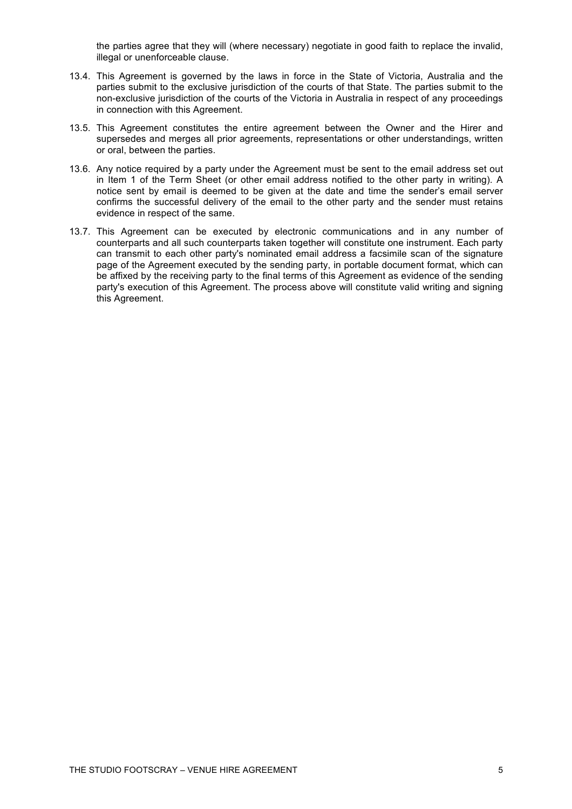the parties agree that they will (where necessary) negotiate in good faith to replace the invalid, illegal or unenforceable clause.

- 13.4. This Agreement is governed by the laws in force in the State of Victoria, Australia and the parties submit to the exclusive jurisdiction of the courts of that State. The parties submit to the non-exclusive jurisdiction of the courts of the Victoria in Australia in respect of any proceedings in connection with this Agreement.
- 13.5. This Agreement constitutes the entire agreement between the Owner and the Hirer and supersedes and merges all prior agreements, representations or other understandings, written or oral, between the parties.
- 13.6. Any notice required by a party under the Agreement must be sent to the email address set out in Item 1 of the Term Sheet (or other email address notified to the other party in writing). A notice sent by email is deemed to be given at the date and time the sender's email server confirms the successful delivery of the email to the other party and the sender must retains evidence in respect of the same.
- 13.7. This Agreement can be executed by electronic communications and in any number of counterparts and all such counterparts taken together will constitute one instrument. Each party can transmit to each other party's nominated email address a facsimile scan of the signature page of the Agreement executed by the sending party, in portable document format, which can be affixed by the receiving party to the final terms of this Agreement as evidence of the sending party's execution of this Agreement. The process above will constitute valid writing and signing this Agreement.